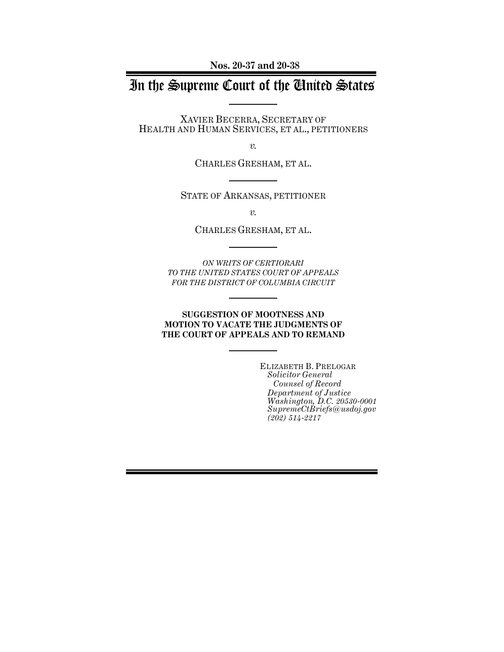**Nos. 20-37 and 20-38**

# In the Supreme Court of the United States

XAVIER BECERRA, SECRETARY OF HEALTH AND HUMAN SERVICES, ET AL., PETITIONERS

*v.*

CHARLES GRESHAM, ET AL.

STATE OF ARKANSAS, PETITIONER

*v.*

CHARLES GRESHAM, ET AL.

*ON WRITS OF CERTIORARI TO THE UNITED STATES COURT OF APPEALS FOR THE DISTRICT OF COLUMBIA CIRCUIT*

### **SUGGESTION OF MOOTNESS AND MOTION TO VACATE THE JUDGMENTS OF THE COURT OF APPEALS AND TO REMAND**

ELIZABETH B. PRELOGAR *Solicitor General Counsel of Record Department of Justice Washington, D.C. 20530-0001 SupremeCtBriefs@usdoj.gov (202) 514-2217*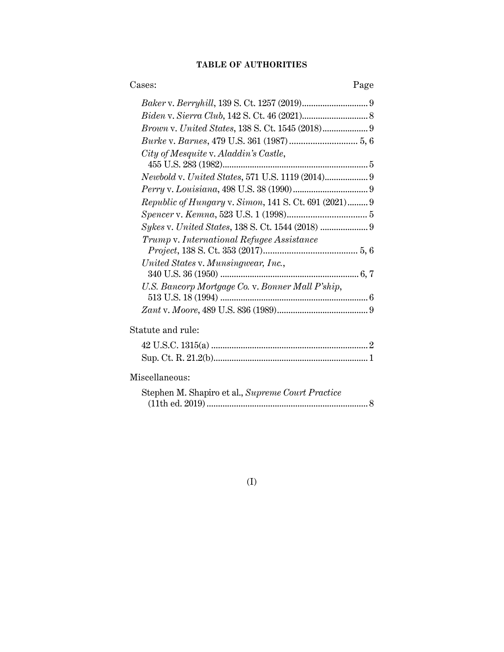### **TABLE OF AUTHORITIES**

| Cases:<br>Page                                        |  |
|-------------------------------------------------------|--|
|                                                       |  |
|                                                       |  |
|                                                       |  |
|                                                       |  |
| City of Mesquite v. Aladdin's Castle,                 |  |
| Newbold v. United States, 571 U.S. 1119 (2014) 9      |  |
|                                                       |  |
| Republic of Hungary v. Simon, 141 S. Ct. 691 (2021) 9 |  |
|                                                       |  |
| Sykes v. United States, 138 S. Ct. 1544 (2018)  9     |  |
| Trump v. International Refugee Assistance             |  |
|                                                       |  |
| United States v. Munsingwear, Inc.,                   |  |
| U.S. Bancorp Mortgage Co. v. Bonner Mall P'ship,      |  |
|                                                       |  |
|                                                       |  |
| Statute and rule:                                     |  |
|                                                       |  |
|                                                       |  |
| Miscellaneous:                                        |  |
| Stephen M. Shapiro et al., Supreme Court Practice     |  |
|                                                       |  |

(I)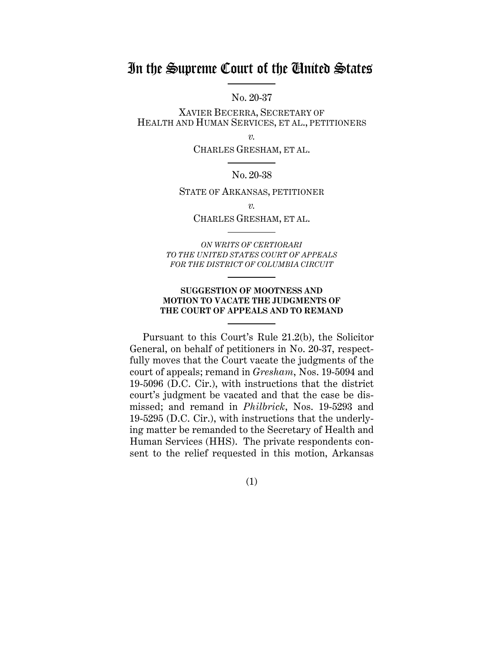## In the Supreme Court of the United States

No. 20-37

XAVIER BECERRA, SECRETARY OF HEALTH AND HUMAN SERVICES, ET AL., PETITIONERS

*v.*

CHARLES GRESHAM, ET AL.

#### No. 20-38

STATE OF ARKANSAS, PETITIONER

*v.*

### CHARLES GRESHAM, ET AL.

*ON WRITS OF CERTIORARI TO THE UNITED STATES COURT OF APPEALS FOR THE DISTRICT OF COLUMBIA CIRCUIT* 

### **SUGGESTION OF MOOTNESS AND MOTION TO VACATE THE JUDGMENTS OF THE COURT OF APPEALS AND TO REMAND**

Pursuant to this Court's Rule 21.2(b), the Solicitor General, on behalf of petitioners in No. 20-37, respectfully moves that the Court vacate the judgments of the court of appeals; remand in *Gresham*, Nos. 19-5094 and 19-5096 (D.C. Cir.), with instructions that the district court's judgment be vacated and that the case be dismissed; and remand in *Philbrick*, Nos. 19-5293 and 19-5295 (D.C. Cir.), with instructions that the underlying matter be remanded to the Secretary of Health and Human Services (HHS). The private respondents consent to the relief requested in this motion, Arkansas

(1)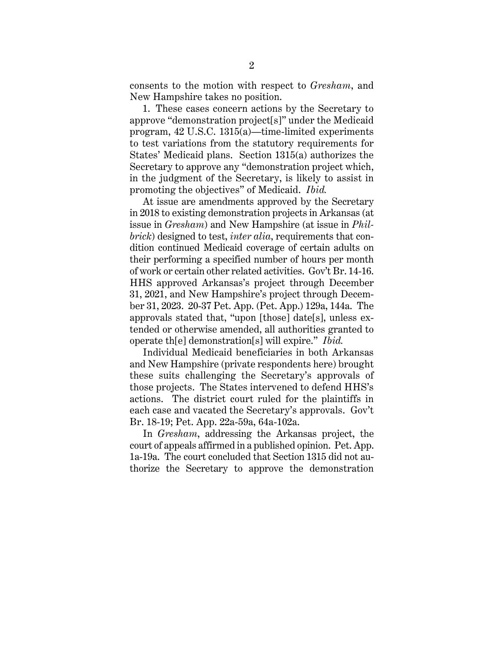consents to the motion with respect to *Gresham*, and New Hampshire takes no position.

1. These cases concern actions by the Secretary to approve "demonstration project[s]" under the Medicaid program, 42 U.S.C. 1315(a)—time-limited experiments to test variations from the statutory requirements for States' Medicaid plans. Section 1315(a) authorizes the Secretary to approve any "demonstration project which, in the judgment of the Secretary, is likely to assist in promoting the objectives" of Medicaid. *Ibid.*

At issue are amendments approved by the Secretary in 2018 to existing demonstration projects in Arkansas (at issue in *Gresham*) and New Hampshire (at issue in *Philbrick*) designed to test, *inter alia*, requirements that condition continued Medicaid coverage of certain adults on their performing a specified number of hours per month of work or certain other related activities. Gov't Br. 14-16. HHS approved Arkansas's project through December 31, 2021, and New Hampshire's project through December 31, 2023. 20-37 Pet. App. (Pet. App.) 129a, 144a. The approvals stated that, "upon [those] date[s], unless extended or otherwise amended, all authorities granted to operate th[e] demonstration[s] will expire." *Ibid.*

Individual Medicaid beneficiaries in both Arkansas and New Hampshire (private respondents here) brought these suits challenging the Secretary's approvals of those projects. The States intervened to defend HHS's actions. The district court ruled for the plaintiffs in each case and vacated the Secretary's approvals. Gov't Br. 18-19; Pet. App. 22a-59a, 64a-102a.

In *Gresham*, addressing the Arkansas project, the court of appeals affirmed in a published opinion. Pet. App. 1a-19a. The court concluded that Section 1315 did not authorize the Secretary to approve the demonstration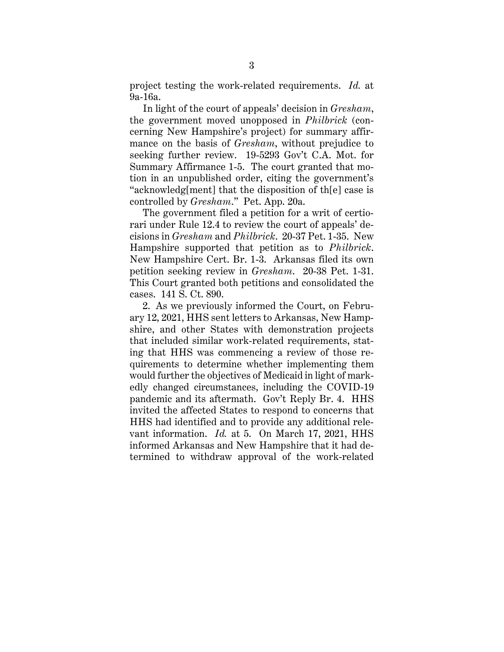project testing the work-related requirements. *Id.* at 9a-16a.

In light of the court of appeals' decision in *Gresham*, the government moved unopposed in *Philbrick* (concerning New Hampshire's project) for summary affirmance on the basis of *Gresham*, without prejudice to seeking further review. 19-5293 Gov't C.A. Mot. for Summary Affirmance 1-5. The court granted that motion in an unpublished order, citing the government's "acknowledg[ment] that the disposition of th[e] case is controlled by *Gresham*." Pet. App. 20a.

The government filed a petition for a writ of certiorari under Rule 12.4 to review the court of appeals' decisions in *Gresham* and *Philbrick*. 20-37 Pet. 1-35. New Hampshire supported that petition as to *Philbrick*. New Hampshire Cert. Br. 1-3. Arkansas filed its own petition seeking review in *Gresham*. 20-38 Pet. 1-31. This Court granted both petitions and consolidated the cases. 141 S. Ct. 890.

2. As we previously informed the Court, on February 12, 2021, HHS sent letters to Arkansas, New Hampshire, and other States with demonstration projects that included similar work-related requirements, stating that HHS was commencing a review of those requirements to determine whether implementing them would further the objectives of Medicaid in light of markedly changed circumstances, including the COVID-19 pandemic and its aftermath. Gov't Reply Br. 4. HHS invited the affected States to respond to concerns that HHS had identified and to provide any additional relevant information. *Id.* at 5. On March 17, 2021, HHS informed Arkansas and New Hampshire that it had determined to withdraw approval of the work-related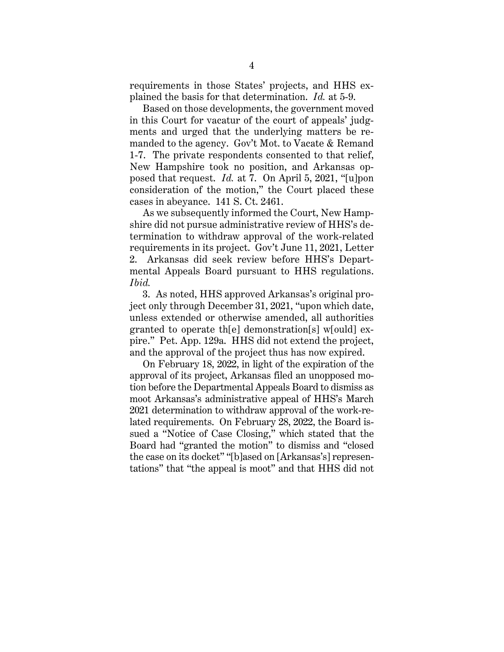requirements in those States' projects, and HHS explained the basis for that determination. *Id.* at 5-9.

Based on those developments, the government moved in this Court for vacatur of the court of appeals' judgments and urged that the underlying matters be remanded to the agency. Gov't Mot. to Vacate & Remand 1-7. The private respondents consented to that relief, New Hampshire took no position, and Arkansas opposed that request. *Id.* at 7. On April 5, 2021, "[u]pon consideration of the motion," the Court placed these cases in abeyance. 141 S. Ct. 2461.

As we subsequently informed the Court, New Hampshire did not pursue administrative review of HHS's determination to withdraw approval of the work-related requirements in its project. Gov't June 11, 2021, Letter 2. Arkansas did seek review before HHS's Departmental Appeals Board pursuant to HHS regulations. *Ibid.*

3. As noted, HHS approved Arkansas's original project only through December 31, 2021, "upon which date, unless extended or otherwise amended, all authorities granted to operate th[e] demonstration[s] w[ould] expire." Pet. App. 129a. HHS did not extend the project, and the approval of the project thus has now expired.

On February 18, 2022, in light of the expiration of the approval of its project, Arkansas filed an unopposed motion before the Departmental Appeals Board to dismiss as moot Arkansas's administrative appeal of HHS's March 2021 determination to withdraw approval of the work-related requirements. On February 28, 2022, the Board issued a "Notice of Case Closing," which stated that the Board had "granted the motion" to dismiss and "closed the case on its docket" "[b]ased on [Arkansas's] representations" that "the appeal is moot" and that HHS did not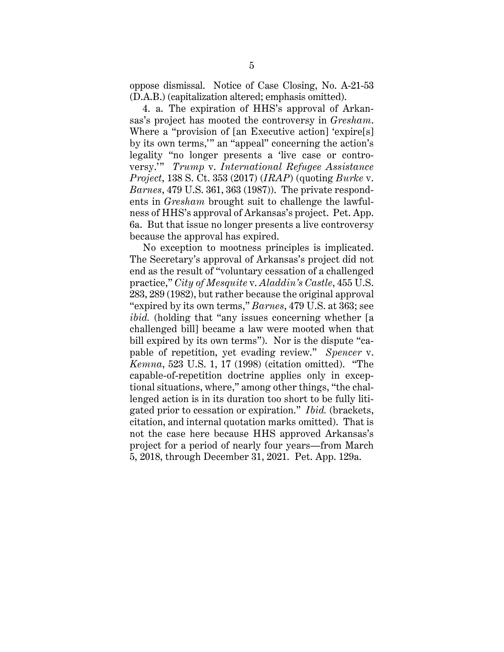oppose dismissal. Notice of Case Closing, No. A-21-53 (D.A.B.) (capitalization altered; emphasis omitted).

4. a. The expiration of HHS's approval of Arkansas's project has mooted the controversy in *Gresham*. Where a "provision of [an Executive action] 'expire[s] by its own terms,'" an "appeal" concerning the action's legality "no longer presents a 'live case or controversy.'" *Trump* v. *International Refugee Assistance Project*, 138 S. Ct. 353 (2017) (*IRAP*) (quoting *Burke* v. *Barnes*, 479 U.S. 361, 363 (1987)). The private respondents in *Gresham* brought suit to challenge the lawfulness of HHS's approval of Arkansas's project. Pet. App. 6a. But that issue no longer presents a live controversy because the approval has expired.

No exception to mootness principles is implicated. The Secretary's approval of Arkansas's project did not end as the result of "voluntary cessation of a challenged practice," *City of Mesquite* v. *Aladdin's Castle*, 455 U.S. 283, 289 (1982), but rather because the original approval "expired by its own terms," *Barnes*, 479 U.S. at 363; see *ibid.* (holding that "any issues concerning whether [a challenged bill] became a law were mooted when that bill expired by its own terms"). Nor is the dispute "capable of repetition, yet evading review." *Spencer* v. *Kemna*, 523 U.S. 1, 17 (1998) (citation omitted). "The capable-of-repetition doctrine applies only in exceptional situations, where," among other things, "the challenged action is in its duration too short to be fully litigated prior to cessation or expiration." *Ibid.* (brackets, citation, and internal quotation marks omitted). That is not the case here because HHS approved Arkansas's project for a period of nearly four years—from March 5, 2018, through December 31, 2021. Pet. App. 129a.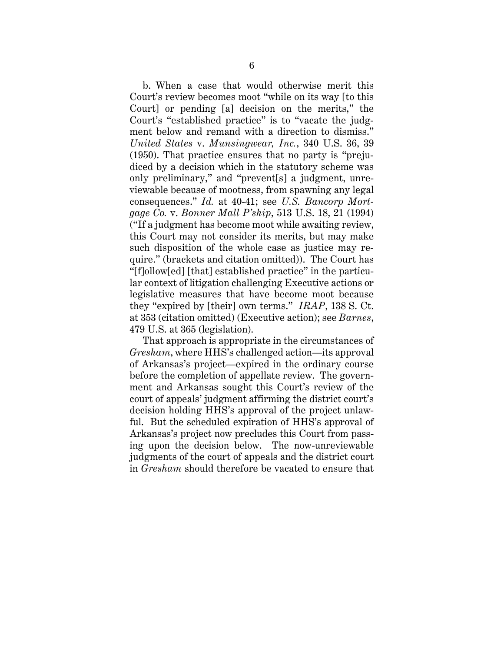b. When a case that would otherwise merit this Court's review becomes moot "while on its way [to this Court] or pending [a] decision on the merits," the Court's "established practice" is to "vacate the judgment below and remand with a direction to dismiss." *United States* v. *Munsingwear, Inc.*, 340 U.S. 36, 39 (1950). That practice ensures that no party is "prejudiced by a decision which in the statutory scheme was only preliminary," and "prevent[s] a judgment, unreviewable because of mootness, from spawning any legal consequences." *Id.* at 40-41; see *U.S. Bancorp Mortgage Co.* v. *Bonner Mall P'ship*, 513 U.S. 18, 21 (1994) ("If a judgment has become moot while awaiting review, this Court may not consider its merits, but may make such disposition of the whole case as justice may require." (brackets and citation omitted)). The Court has "[f]ollow[ed] [that] established practice" in the particular context of litigation challenging Executive actions or legislative measures that have become moot because they "expired by [their] own terms." *IRAP*, 138 S. Ct. at 353 (citation omitted) (Executive action); see *Barnes*, 479 U.S. at 365 (legislation).

That approach is appropriate in the circumstances of *Gresham*, where HHS's challenged action—its approval of Arkansas's project—expired in the ordinary course before the completion of appellate review. The government and Arkansas sought this Court's review of the court of appeals' judgment affirming the district court's decision holding HHS's approval of the project unlawful. But the scheduled expiration of HHS's approval of Arkansas's project now precludes this Court from passing upon the decision below. The now-unreviewable judgments of the court of appeals and the district court in *Gresham* should therefore be vacated to ensure that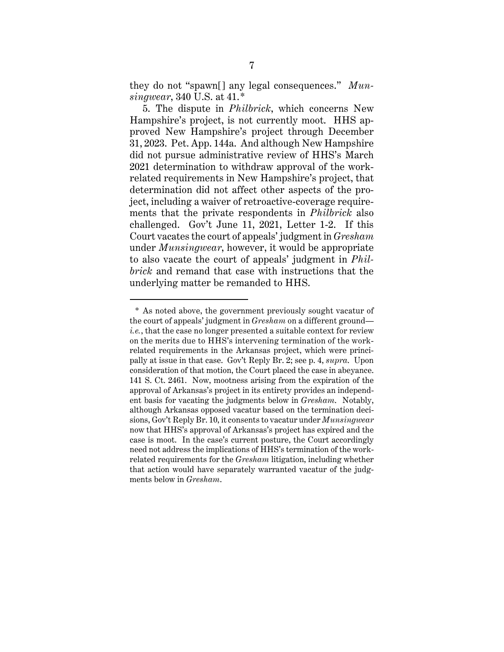they do not "spawn[] any legal consequences." *Munsingwear*, 340 U.S. at 41.\*

5. The dispute in *Philbrick*, which concerns New Hampshire's project, is not currently moot. HHS approved New Hampshire's project through December 31, 2023. Pet. App. 144a. And although New Hampshire did not pursue administrative review of HHS's March 2021 determination to withdraw approval of the workrelated requirements in New Hampshire's project, that determination did not affect other aspects of the project, including a waiver of retroactive-coverage requirements that the private respondents in *Philbrick* also challenged. Gov't June 11, 2021, Letter 1-2. If this Court vacates the court of appeals' judgment in *Gresham* under *Munsingwear*, however, it would be appropriate to also vacate the court of appeals' judgment in *Philbrick* and remand that case with instructions that the underlying matter be remanded to HHS.

<sup>\*</sup> As noted above, the government previously sought vacatur of the court of appeals' judgment in *Gresham* on a different ground *i.e.*, that the case no longer presented a suitable context for review on the merits due to HHS's intervening termination of the workrelated requirements in the Arkansas project, which were principally at issue in that case. Gov't Reply Br. 2; see p. 4, *supra*. Upon consideration of that motion, the Court placed the case in abeyance. 141 S. Ct. 2461. Now, mootness arising from the expiration of the approval of Arkansas's project in its entirety provides an independent basis for vacating the judgments below in *Gresham*. Notably, although Arkansas opposed vacatur based on the termination decisions, Gov't Reply Br. 10, it consents to vacatur under *Munsingwear*  now that HHS's approval of Arkansas's project has expired and the case is moot. In the case's current posture, the Court accordingly need not address the implications of HHS's termination of the workrelated requirements for the *Gresham* litigation, including whether that action would have separately warranted vacatur of the judgments below in *Gresham*.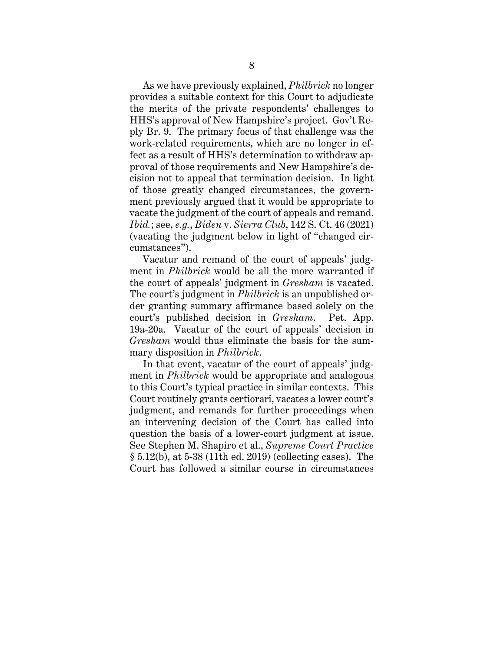As we have previously explained, *Philbrick* no longer provides a suitable context for this Court to adjudicate the merits of the private respondents' challenges to HHS's approval of New Hampshire's project. Gov't Reply Br. 9. The primary focus of that challenge was the work-related requirements, which are no longer in effect as a result of HHS's determination to withdraw approval of those requirements and New Hampshire's decision not to appeal that termination decision. In light of those greatly changed circumstances, the government previously argued that it would be appropriate to vacate the judgment of the court of appeals and remand. *Ibid.*; see, *e.g.*, *Biden* v. *Sierra Club*, 142 S. Ct. 46 (2021) (vacating the judgment below in light of "changed circumstances").

Vacatur and remand of the court of appeals' judgment in *Philbrick* would be all the more warranted if the court of appeals' judgment in *Gresham* is vacated. The court's judgment in *Philbrick* is an unpublished order granting summary affirmance based solely on the court's published decision in *Gresham*. Pet. App. 19a-20a. Vacatur of the court of appeals' decision in *Gresham* would thus eliminate the basis for the summary disposition in *Philbrick*.

In that event, vacatur of the court of appeals' judgment in *Philbrick* would be appropriate and analogous to this Court's typical practice in similar contexts. This Court routinely grants certiorari, vacates a lower court's judgment, and remands for further proceedings when an intervening decision of the Court has called into question the basis of a lower-court judgment at issue. See Stephen M. Shapiro et al., *Supreme Court Practice* § 5.12(b), at 5-38 (11th ed. 2019) (collecting cases). The Court has followed a similar course in circumstances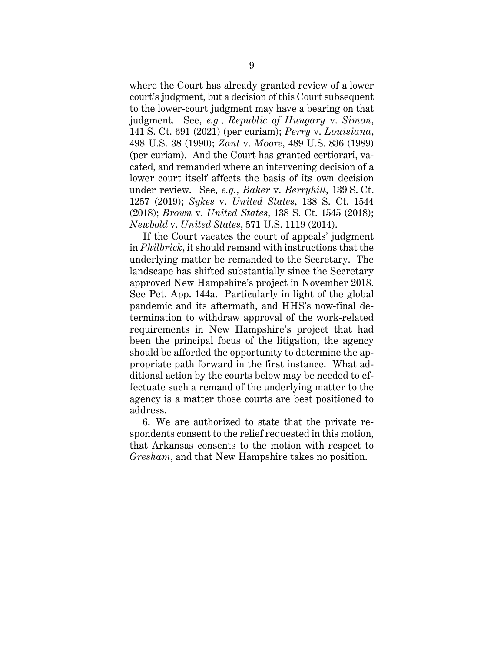where the Court has already granted review of a lower court's judgment, but a decision of this Court subsequent to the lower-court judgment may have a bearing on that judgment. See, *e.g.*, *Republic of Hungary* v. *Simon*, 141 S. Ct. 691 (2021) (per curiam); *Perry* v. *Louisiana*, 498 U.S. 38 (1990); *Zant* v. *Moore*, 489 U.S. 836 (1989) (per curiam). And the Court has granted certiorari, vacated, and remanded where an intervening decision of a lower court itself affects the basis of its own decision under review. See, *e.g.*, *Baker* v. *Berryhill*, 139 S. Ct. 1257 (2019); *Sykes* v. *United States*, 138 S. Ct. 1544 (2018); *Brown* v. *United States*, 138 S. Ct. 1545 (2018); *Newbold* v. *United States*, 571 U.S. 1119 (2014).

If the Court vacates the court of appeals' judgment in *Philbrick*, it should remand with instructions that the underlying matter be remanded to the Secretary. The landscape has shifted substantially since the Secretary approved New Hampshire's project in November 2018. See Pet. App. 144a. Particularly in light of the global pandemic and its aftermath, and HHS's now-final determination to withdraw approval of the work-related requirements in New Hampshire's project that had been the principal focus of the litigation, the agency should be afforded the opportunity to determine the appropriate path forward in the first instance. What additional action by the courts below may be needed to effectuate such a remand of the underlying matter to the agency is a matter those courts are best positioned to address.

6. We are authorized to state that the private respondents consent to the relief requested in this motion, that Arkansas consents to the motion with respect to *Gresham*, and that New Hampshire takes no position.